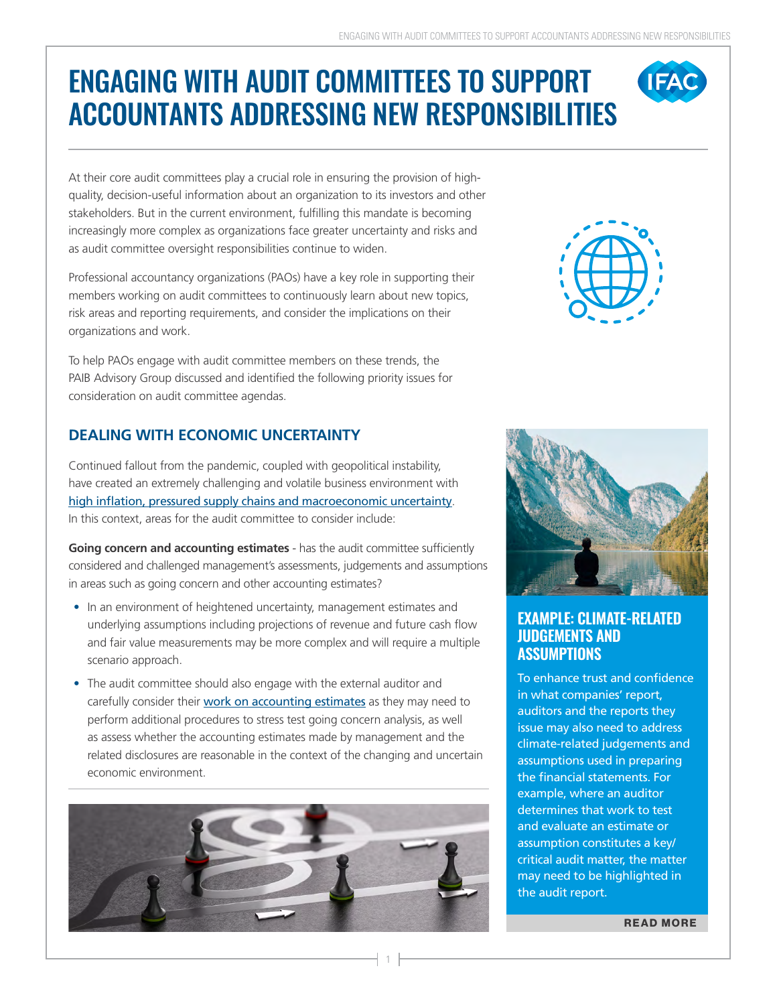# ENGAGING WITH AUDIT COMMITTEES TO SUPPORT ACCOUNTANTS ADDRESSING NEW RESPONSIBILITIES

At their core audit committees play a crucial role in ensuring the provision of highquality, decision-useful information about an organization to its investors and other stakeholders. But in the current environment, fulfilling this mandate is becoming increasingly more complex as organizations face greater uncertainty and risks and as audit committee oversight responsibilities continue to widen.

Professional accountancy organizations (PAOs) have a key role in supporting their members working on audit committees to continuously learn about new topics, risk areas and reporting requirements, and consider the implications on their organizations and work.

To help PAOs engage with audit committee members on these trends, the PAIB Advisory Group discussed and identified the following priority issues for consideration on audit committee agendas.

### **DEALING WITH ECONOMIC UNCERTAINTY**

Continued fallout from the pandemic, coupled with geopolitical instability, have created an extremely challenging and volatile business environment with [high inflation, pressured supply chains and macroeconomic uncertainty](https://www.ifac.org/knowledge-gateway/contributing-global-economy/discussion/accountants-center-responding-inflation-and-supply-chain-crunch). In this context, areas for the audit committee to consider include:

**Going concern and accounting estimates** - has the audit committee sufficiently considered and challenged management's assessments, judgements and assumptions in areas such as going concern and other accounting estimates?

- In an environment of heightened uncertainty, management estimates and underlying assumptions including projections of revenue and future cash flow and fair value measurements may be more complex and will require a multiple scenario approach.
- The audit committee should also engage with the external auditor and carefully consider their [work on accounting estimates](https://www.ifac.org/knowledge-gateway/supporting-international-standards/discussion/auditing-accounting-estimates) as they may need to perform additional procedures to stress test going concern analysis, as well as assess whether the accounting estimates made by management and the related disclosures are reasonable in the context of the changing and uncertain economic environment.



1



**IFAC** 



#### **EXAMPLE: CLIMATE-RELATED JUDGEMENTS AND ASSUMPTIONS**

To enhance trust and confidence in what companies' report, auditors and the reports they issue may also need to address climate-related judgements and assumptions used in preparing the financial statements. For example, where an auditor determines that work to test and evaluate an estimate or assumption constitutes a key/ critical audit matter, the matter may need to be highlighted in the audit report.

**[READ MORE](https://www.ifac.org/knowledge-gateway/contributing-global-economy/discussion/corporate-reporting-climate-change-information-and-2021-reporting-cycle)**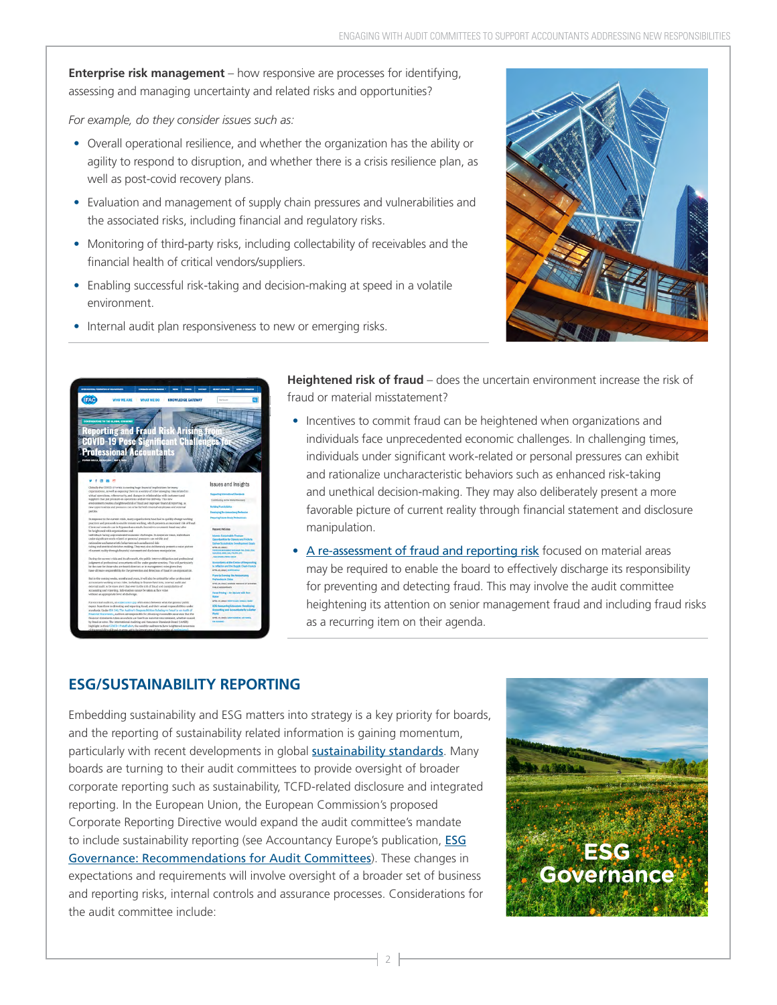**Enterprise risk management** – how responsive are processes for identifying, assessing and managing uncertainty and related risks and opportunities?

*For example, do they consider issues such as:*

- Overall operational resilience, and whether the organization has the ability or agility to respond to disruption, and whether there is a crisis resilience plan, as well as post-covid recovery plans.
- Evaluation and management of supply chain pressures and vulnerabilities and the associated risks, including financial and regulatory risks.
- Monitoring of third-party risks, including collectability of receivables and the financial health of critical vendors/suppliers.
- Enabling successful risk-taking and decision-making at speed in a volatile environment.
- Internal audit plan responsiveness to new or emerging risks.





**Heightened risk of fraud** – does the uncertain environment increase the risk of fraud or material misstatement?

- Incentives to commit fraud can be heightened when organizations and individuals face unprecedented economic challenges. In challenging times, individuals under significant work-related or personal pressures can exhibit and rationalize uncharacteristic behaviors such as enhanced risk-taking and unethical decision-making. They may also deliberately present a more favorable picture of current reality through financial statement and disclosure manipulation.
- [A re-assessment of fraud and reporting risk](https://www.ifac.org/knowledge-gateway/contributing-global-economy/discussion/reporting-and-fraud-risk-arising-covid-19-pose-significant-challenges-professional-accountants) focused on material areas may be required to enable the board to effectively discharge its responsibility for preventing and detecting fraud. This may involve the audit committee heightening its attention on senior management fraud and including fraud risks as a recurring item on their agenda.

# **ESG/SUSTAINABILITY REPORTING**

Embedding sustainability and ESG matters into strategy is a key priority for boards, and the reporting of sustainability related information is gaining momentum, particularly with recent developments in global [sustainability standards](https://www.ifac.org/knowledge-gateway/contributing-global-economy/discussion/sustainability-standards). Many boards are turning to their audit committees to provide oversight of broader corporate reporting such as sustainability, TCFD-related disclosure and integrated reporting. In the European Union, the European Commission's proposed Corporate Reporting Directive would expand the audit committee's mandate to include sustainability reporting (see Accountancy Europe's publication, [ESG](https://www.accountancyeurope.eu/publications/esg-governance/) [Governance: Recommendations for Audit Committees](https://www.accountancyeurope.eu/publications/esg-governance/)). These changes in expectations and requirements will involve oversight of a broader set of business and reporting risks, internal controls and assurance processes. Considerations for the audit committee include:

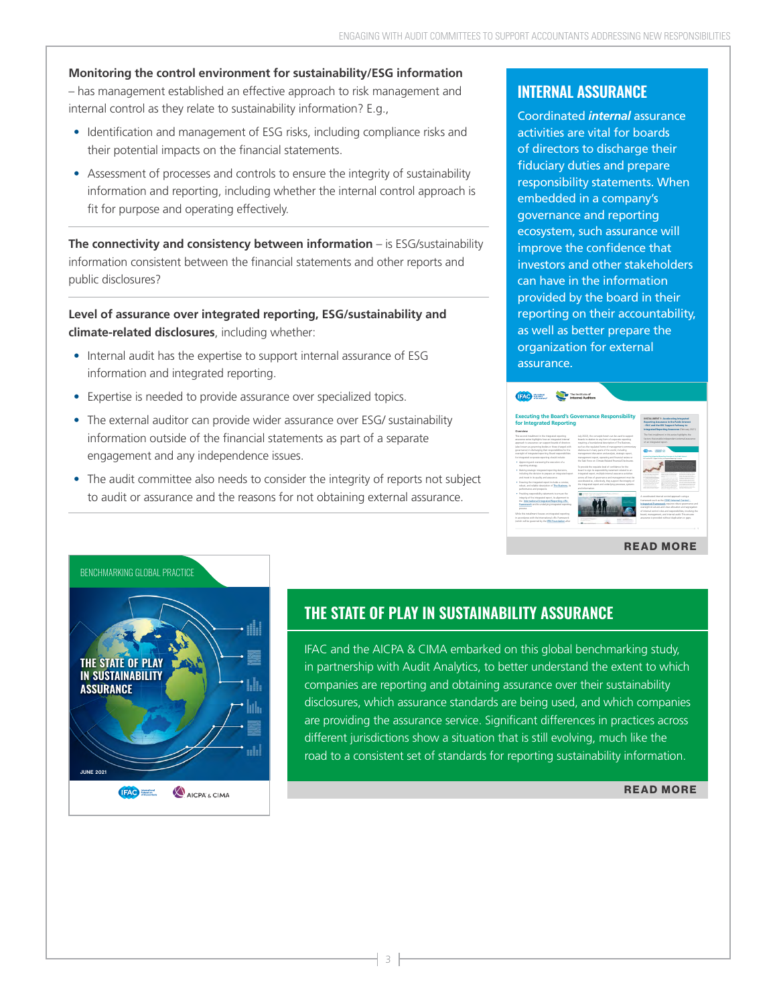# **Monitoring the control environment for sustainability/ESG information**

– has management established an effective approach to risk management and internal control as they relate to sustainability information? E.g.,

- Identification and management of ESG risks, including compliance risks and their potential impacts on the financial statements.
- Assessment of processes and controls to ensure the integrity of sustainability information and reporting, including whether the internal control approach is fit for purpose and operating effectively.

**The connectivity and consistency between information** – is ESG/sustainability information consistent between the financial statements and other reports and public disclosures?

**Level of assurance over integrated reporting, ESG/sustainability and climate-related disclosures**, including whether:

- Internal audit has the expertise to support internal assurance of ESG information and integrated reporting.
- Expertise is needed to provide assurance over specialized topics.
- The external auditor can provide wider assurance over ESG/ sustainability information outside of the financial statements as part of a separate engagement and any independence issues.
- The audit committee also needs to consider the integrity of reports not subject to audit or assurance and the reasons for not obtaining external assurance.

#### **INTERNAL ASSURANCE**

Coordinated *internal* assurance activities are vital for boards of directors to discharge their fiduciary duties and prepare responsibility statements. When embedded in a company's governance and reporting ecosystem, such assurance will improve the confidence that investors and other stakeholders can have in the information provided by the board in their reporting on their accountability, as well as better prepare the organization for external assurance.

#### The Institute of The Institute of **[Executing the Board's Governance Responsibility](https://www.ifac.org/knowledge-gateway/preparing-future-ready-professionals/publications/executing-board-s-governance-responsibility-integrated-reporting)  INSTALLMENT 1: Accelerating Integrated for Integrated Reporting - IFAC and the IIRC Support Pathway to Integrated Reporting Assurance** (February 2021) **Overview** This second installment in the integrated reporting July 2022), the concepts herein can be used to support The first installment in this series highlights the factors that enable independent *external* assurance (also known as governing bodies or those charged with such as the regulated forms of management commentary governance) in discharging their responsibilities for the disclosures in many parts of the world, including the Task Force on Climate-Related Financial Disclosures. reporting strategy. • Making strategic integrated reporting decisions, board to sign its responsibility statement related to an including the decision to prepare an integrated report integrated report, multiple internal assurance activities with the International International International International International International International International International International International International International International International In • Ensuring the integrated report includes a concise, the integrated report and underlying processes, systems project is a good start. However, more understanding robust, and reliable description of The Business, its and guidance are needed, particularly on moving from a limited to a reasonable assurance engagement given this and information. • Providing responsibility statements to ensure the the International Integrated Reporting <IR> framework such as the COSO Internal Control - Integrated Framework requires robust governance and Framework and its underlying integrated reporting oversight structures and clear allocation and segregation process. While this installment focuses on integrated reporting in accordance with the International <IR> Framework (which will be governed by the IFRS Foundation after

#### **[READ MORE](https://www.ifac.org/knowledge-gateway/preparing-future-ready-professionals/publications/executing-board-s-governance-responsibility-integrated-reporting)**



# **THE STATE OF PLAY IN SUSTAINABILITY ASSURANCE**

IFAC and the AICPA & CIMA embarked on this global benchmarking study, in partnership with Audit Analytics, to better understand the extent to which companies are reporting and obtaining assurance over their sustainability disclosures, which assurance standards are being used, and which companies are providing the assurance service. Significant differences in practices across different jurisdictions show a situation that is still evolving, much like the road to a consistent set of standards for reporting sustainability information.

#### **[READ MORE](https://www.ifac.org/knowledge-gateway/contributing-global-economy/publications/state-play-sustainability-assurance)**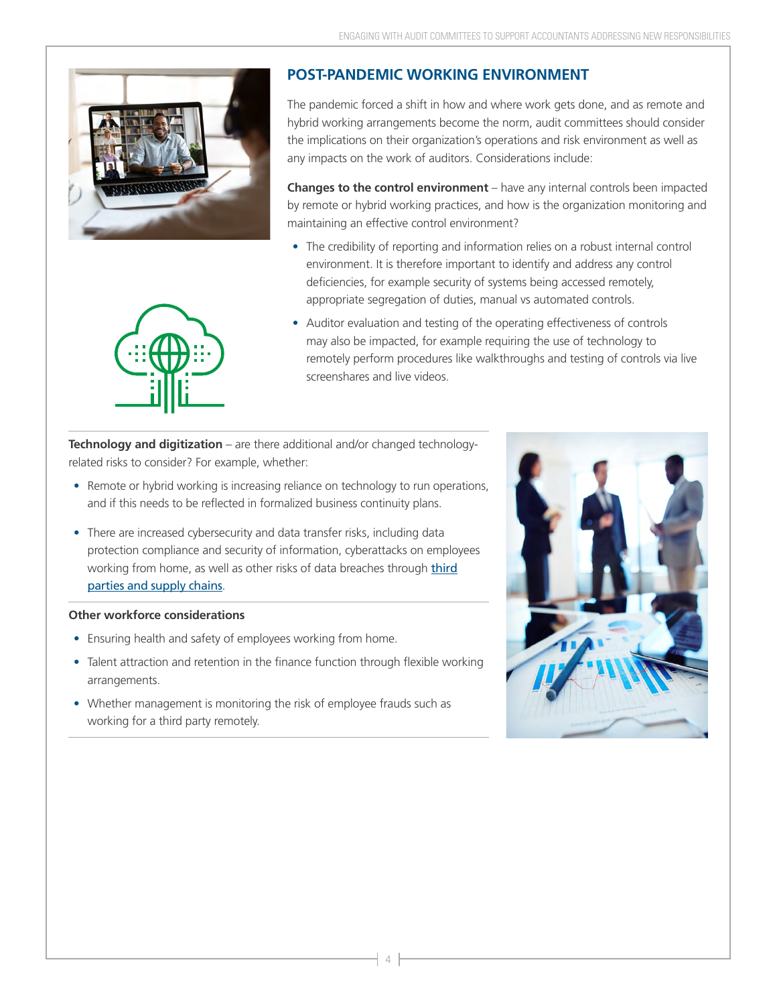

#### **POST-PANDEMIC WORKING ENVIRONMENT**

The pandemic forced a shift in how and where work gets done, and as remote and hybrid working arrangements become the norm, audit committees should consider the implications on their organization's operations and risk environment as well as any impacts on the work of auditors. Considerations include:

**Changes to the control environment** – have any internal controls been impacted by remote or hybrid working practices, and how is the organization monitoring and maintaining an effective control environment?

- The credibility of reporting and information relies on a robust internal control environment. It is therefore important to identify and address any control deficiencies, for example security of systems being accessed remotely, appropriate segregation of duties, manual vs automated controls.
- Auditor evaluation and testing of the operating effectiveness of controls may also be impacted, for example requiring the use of technology to remotely perform procedures like walkthroughs and testing of controls via live screenshares and live videos.

**Technology and digitization** – are there additional and/or changed technologyrelated risks to consider? For example, whether:

- Remote or hybrid working is increasing reliance on technology to run operations, and if this needs to be reflected in formalized business continuity plans.
- There are increased cybersecurity and data transfer risks, including data protection compliance and security of information, cyberattacks on employees working from home, as well as other risks of data breaches through *[third](https://www.pwc.com/gx/en/ceo-agenda/ceosurvey/2022.html)* [parties and supply chains](https://www.pwc.com/gx/en/ceo-agenda/ceosurvey/2022.html).

#### **Other workforce considerations**

- Ensuring health and safety of employees working from home.
- Talent attraction and retention in the finance function through flexible working arrangements.
- Whether management is monitoring the risk of employee frauds such as working for a third party remotely.



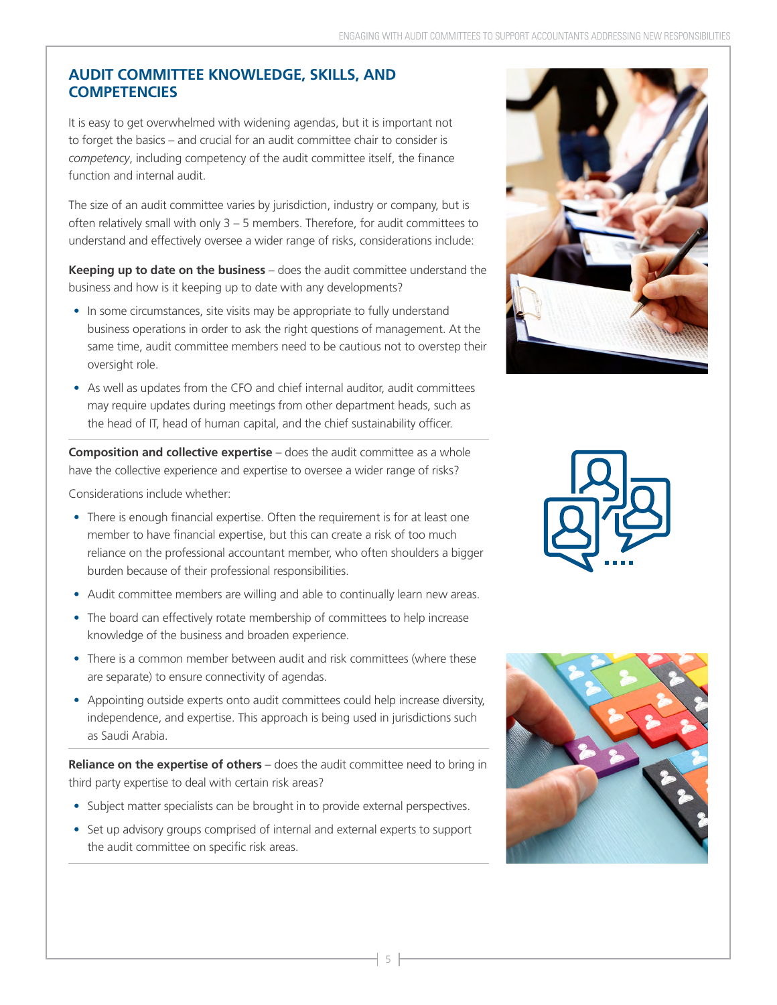#### **AUDIT COMMITTEE KNOWLEDGE, SKILLS, AND COMPETENCIES**

It is easy to get overwhelmed with widening agendas, but it is important not to forget the basics – and crucial for an audit committee chair to consider is *competency*, including competency of the audit committee itself, the finance function and internal audit.

The size of an audit committee varies by jurisdiction, industry or company, but is often relatively small with only 3 – 5 members. Therefore, for audit committees to understand and effectively oversee a wider range of risks, considerations include:

**Keeping up to date on the business** – does the audit committee understand the business and how is it keeping up to date with any developments?

- In some circumstances, site visits may be appropriate to fully understand business operations in order to ask the right questions of management. At the same time, audit committee members need to be cautious not to overstep their oversight role.
- As well as updates from the CFO and chief internal auditor, audit committees may require updates during meetings from other department heads, such as the head of IT, head of human capital, and the chief sustainability officer.

**Composition and collective expertise** – does the audit committee as a whole have the collective experience and expertise to oversee a wider range of risks?

Considerations include whether:

- There is enough financial expertise. Often the requirement is for at least one member to have financial expertise, but this can create a risk of too much reliance on the professional accountant member, who often shoulders a bigger burden because of their professional responsibilities.
- Audit committee members are willing and able to continually learn new areas.
- The board can effectively rotate membership of committees to help increase knowledge of the business and broaden experience.
- There is a common member between audit and risk committees (where these are separate) to ensure connectivity of agendas.
- Appointing outside experts onto audit committees could help increase diversity, independence, and expertise. This approach is being used in jurisdictions such as Saudi Arabia.

**Reliance on the expertise of others** – does the audit committee need to bring in third party expertise to deal with certain risk areas?

- Subject matter specialists can be brought in to provide external perspectives.
- Set up advisory groups comprised of internal and external experts to support the audit committee on specific risk areas.